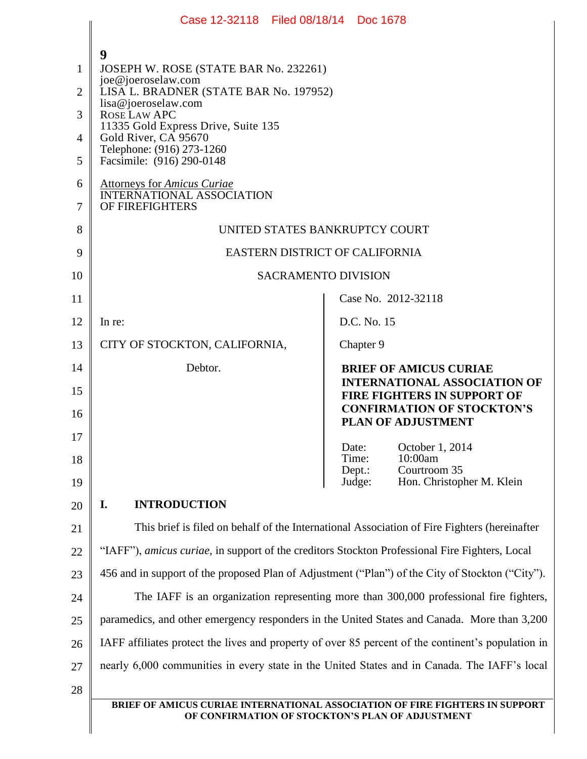|                                                      | Case 12-32118 Filed 08/18/14 Doc 1678                                                                                                                                                                                                                                                                            |                                                                                                      |
|------------------------------------------------------|------------------------------------------------------------------------------------------------------------------------------------------------------------------------------------------------------------------------------------------------------------------------------------------------------------------|------------------------------------------------------------------------------------------------------|
| 1<br>$\overline{2}$<br>3<br>$\overline{4}$<br>5<br>6 | 9<br>JOSEPH W. ROSE (STATE BAR No. 232261)<br>joe@joeroselaw.com<br>LISA L. BRADNER (STATE BAR No. 197952)<br>lisa@joeroselaw.com<br>ROSE LAW APC<br>11335 Gold Express Drive, Suite 135<br>Gold River, CA 95670<br>Telephone: (916) 273-1260<br>Facsimile: (916) 290-0148<br><b>Attorneys for Amicus Curiae</b> |                                                                                                      |
| 7                                                    | <b>INTERNATIONAL ASSOCIATION</b><br>OF FIREFIGHTERS                                                                                                                                                                                                                                                              |                                                                                                      |
| 8                                                    | UNITED STATES BANKRUPTCY COURT                                                                                                                                                                                                                                                                                   |                                                                                                      |
| 9                                                    | EASTERN DISTRICT OF CALIFORNIA                                                                                                                                                                                                                                                                                   |                                                                                                      |
| 10                                                   | <b>SACRAMENTO DIVISION</b>                                                                                                                                                                                                                                                                                       |                                                                                                      |
| 11                                                   |                                                                                                                                                                                                                                                                                                                  | Case No. 2012-32118                                                                                  |
| 12                                                   | In re:                                                                                                                                                                                                                                                                                                           | D.C. No. 15                                                                                          |
| 13                                                   | CITY OF STOCKTON, CALIFORNIA,                                                                                                                                                                                                                                                                                    | Chapter 9                                                                                            |
| 14                                                   | Debtor.                                                                                                                                                                                                                                                                                                          | <b>BRIEF OF AMICUS CURIAE</b><br><b>INTERNATIONAL ASSOCIATION OF</b>                                 |
| 15<br>16                                             |                                                                                                                                                                                                                                                                                                                  | <b>FIRE FIGHTERS IN SUPPORT OF</b><br><b>CONFIRMATION OF STOCKTON'S</b><br><b>PLAN OF ADJUSTMENT</b> |
| 17                                                   |                                                                                                                                                                                                                                                                                                                  | October 1, 2014<br>Date:                                                                             |
| 18                                                   |                                                                                                                                                                                                                                                                                                                  | Time:<br>10:00am<br>Courtroom 35<br>Dept.:                                                           |
| 19                                                   |                                                                                                                                                                                                                                                                                                                  | Hon. Christopher M. Klein<br>Judge:                                                                  |
| 20                                                   | I.<br><b>INTRODUCTION</b>                                                                                                                                                                                                                                                                                        |                                                                                                      |
| 21                                                   | This brief is filed on behalf of the International Association of Fire Fighters (hereinafter                                                                                                                                                                                                                     |                                                                                                      |
| 22                                                   | "IAFF"), amicus curiae, in support of the creditors Stockton Professional Fire Fighters, Local                                                                                                                                                                                                                   |                                                                                                      |
| 23                                                   | 456 and in support of the proposed Plan of Adjustment ("Plan") of the City of Stockton ("City").                                                                                                                                                                                                                 |                                                                                                      |
| 24                                                   | The IAFF is an organization representing more than 300,000 professional fire fighters,                                                                                                                                                                                                                           |                                                                                                      |
| 25                                                   | paramedics, and other emergency responders in the United States and Canada. More than 3,200                                                                                                                                                                                                                      |                                                                                                      |
| 26                                                   | IAFF affiliates protect the lives and property of over 85 percent of the continent's population in                                                                                                                                                                                                               |                                                                                                      |
| 27                                                   | nearly 6,000 communities in every state in the United States and in Canada. The IAFF's local                                                                                                                                                                                                                     |                                                                                                      |
| 28                                                   |                                                                                                                                                                                                                                                                                                                  | BRIEF OF AMICUS CURIAE INTERNATIONAL ASSOCIATION OF FIRE FIGHTERS IN SUPPORT                         |
|                                                      |                                                                                                                                                                                                                                                                                                                  | OF CONFIRMATION OF STOCKTON'S PLAN OF ADJUSTMENT                                                     |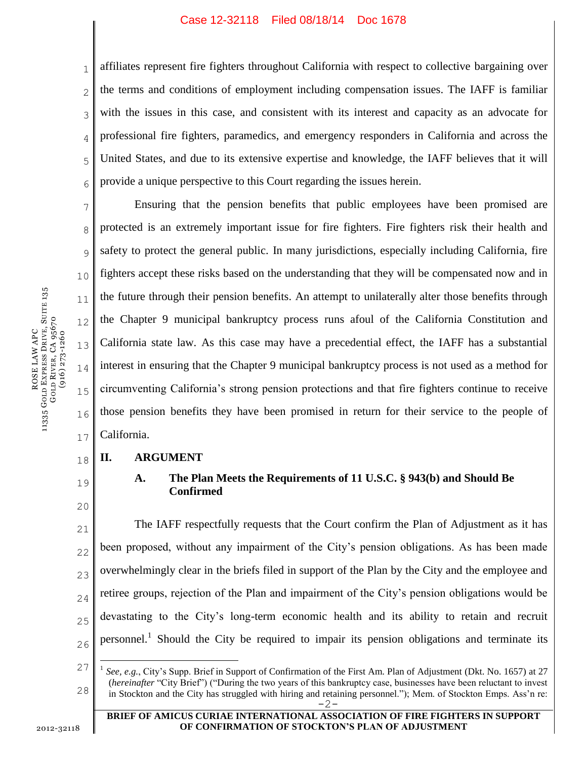#### Case 12-32118 Filed 08/18/14 Doc 1678

1 2 3 4 5 6 affiliates represent fire fighters throughout California with respect to collective bargaining over the terms and conditions of employment including compensation issues. The IAFF is familiar with the issues in this case, and consistent with its interest and capacity as an advocate for professional fire fighters, paramedics, and emergency responders in California and across the United States, and due to its extensive expertise and knowledge, the IAFF believes that it will provide a unique perspective to this Court regarding the issues herein.

7 8 9 10 11 12 13 14 15 16 17 Ensuring that the pension benefits that public employees have been promised are protected is an extremely important issue for fire fighters. Fire fighters risk their health and safety to protect the general public. In many jurisdictions, especially including California, fire fighters accept these risks based on the understanding that they will be compensated now and in the future through their pension benefits. An attempt to unilaterally alter those benefits through the Chapter 9 municipal bankruptcy process runs afoul of the California Constitution and California state law. As this case may have a precedential effect, the IAFF has a substantial interest in ensuring that the Chapter 9 municipal bankruptcy process is not used as a method for circumventing California's strong pension protections and that fire fighters continue to receive those pension benefits they have been promised in return for their service to the people of California.

#### 18 **II. ARGUMENT**

19

 $\overline{a}$ 

20

# **A. The Plan Meets the Requirements of 11 U.S.C. § 943(b) and Should Be Confirmed**

21 22 23 24 25 26 The IAFF respectfully requests that the Court confirm the Plan of Adjustment as it has been proposed, without any impairment of the City's pension obligations. As has been made overwhelmingly clear in the briefs filed in support of the Plan by the City and the employee and retiree groups, rejection of the Plan and impairment of the City's pension obligations would be devastating to the City's long-term economic health and its ability to retain and recruit personnel.<sup>1</sup> Should the City be required to impair its pension obligations and terminate its

2012-32118

<sup>27</sup> 28 -2- 1 *See, e.g.*, City's Supp. Brief in Support of Confirmation of the First Am. Plan of Adjustment (Dkt. No. 1657) at 27 (*hereinafter* "City Brief") ("During the two years of this bankruptcy case, businesses have been reluctant to invest in Stockton and the City has struggled with hiring and retaining personnel."); Mem. of Stockton Emps. Ass'n re: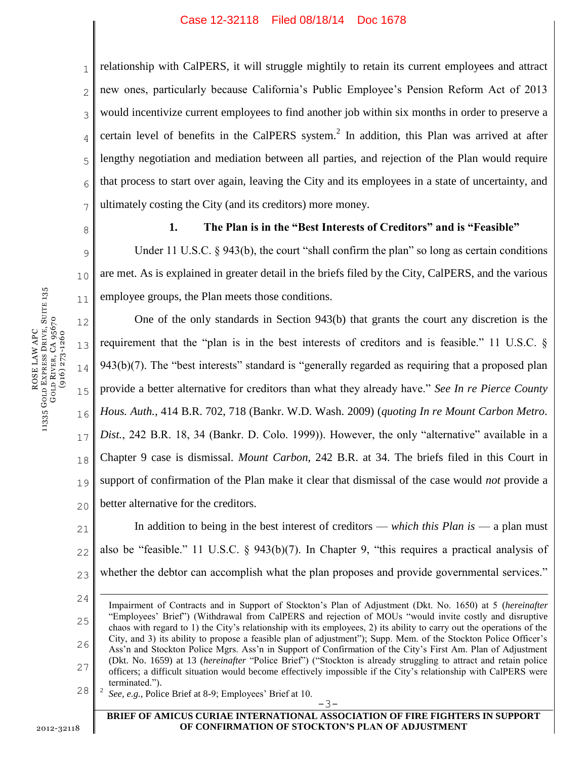1 2 3 4 5 6 7 relationship with CalPERS, it will struggle mightily to retain its current employees and attract new ones, particularly because California's Public Employee's Pension Reform Act of 2013 would incentivize current employees to find another job within six months in order to preserve a certain level of benefits in the CalPERS system. $<sup>2</sup>$  In addition, this Plan was arrived at after</sup> lengthy negotiation and mediation between all parties, and rejection of the Plan would require that process to start over again, leaving the City and its employees in a state of uncertainty, and ultimately costing the City (and its creditors) more money.

8

# **1. The Plan is in the "Best Interests of Creditors" and is "Feasible"**

9 10 11 Under 11 U.S.C. § 943(b), the court "shall confirm the plan" so long as certain conditions are met. As is explained in greater detail in the briefs filed by the City, CalPERS, and the various employee groups, the Plan meets those conditions.

12 13 14 15 16 17 18 19 20 One of the only standards in Section 943(b) that grants the court any discretion is the requirement that the "plan is in the best interests of creditors and is feasible." 11 U.S.C. § 943(b)(7). The "best interests" standard is "generally regarded as requiring that a proposed plan provide a better alternative for creditors than what they already have." *See In re Pierce County Hous. Auth.,* 414 B.R. 702, 718 (Bankr. W.D. Wash. 2009) (*quoting In re Mount Carbon Metro. Dist.*, 242 B.R. 18, 34 (Bankr. D. Colo. 1999)). However, the only "alternative" available in a Chapter 9 case is dismissal. *Mount Carbon*, 242 B.R. at 34. The briefs filed in this Court in support of confirmation of the Plan make it clear that dismissal of the case would *not* provide a better alternative for the creditors.

21 22 23 In addition to being in the best interest of creditors — *which this Plan is* — a plan must also be "feasible." 11 U.S.C. § 943(b)(7). In Chapter 9, "this requires a practical analysis of whether the debtor can accomplish what the plan proposes and provide governmental services."

24 25 26 27 28  $\overline{a}$ Impairment of Contracts and in Support of Stockton's Plan of Adjustment (Dkt. No. 1650) at 5 (*hereinafter* "Employees' Brief") (Withdrawal from CalPERS and rejection of MOUs "would invite costly and disruptive chaos with regard to 1) the City's relationship with its employees, 2) its ability to carry out the operations of the City, and 3) its ability to propose a feasible plan of adjustment"); Supp. Mem. of the Stockton Police Officer's Ass'n and Stockton Police Mgrs. Ass'n in Support of Confirmation of the City's First Am. Plan of Adjustment (Dkt. No. 1659) at 13 (*hereinafter* "Police Brief") ("Stockton is already struggling to attract and retain police officers; a difficult situation would become effectively impossible if the City's relationship with CalPERS were terminated."). 2

#### **BRIEF OF AMICUS CURIAE INTERNATIONAL ASSOCIATION OF FIRE FIGHTERS IN SUPPORT OF CONFIRMATION OF STOCKTON'S PLAN OF ADJUSTMENT**

-3-

ROSE LAW APC<br>vergs Drive 11335 GOLD EXPRESS DRIVE, SUITE 135 GOLD RIVER, CA 95670 (916) 273-1260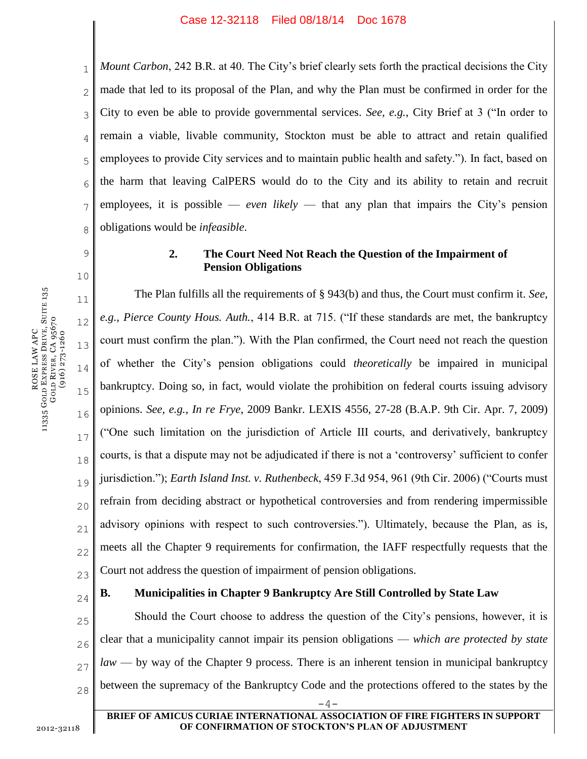1 2 3 4 5 6 7 8 *Mount Carbon*, 242 B.R. at 40. The City's brief clearly sets forth the practical decisions the City made that led to its proposal of the Plan, and why the Plan must be confirmed in order for the City to even be able to provide governmental services. *See, e.g.*, City Brief at 3 ("In order to remain a viable, livable community, Stockton must be able to attract and retain qualified employees to provide City services and to maintain public health and safety."). In fact, based on the harm that leaving CalPERS would do to the City and its ability to retain and recruit employees, it is possible — *even likely* — that any plan that impairs the City's pension obligations would be *infeasible*.

# **2. The Court Need Not Reach the Question of the Impairment of Pension Obligations**

11 12 13 14 15 16 17 18 19 20 21 22 23 The Plan fulfills all the requirements of § 943(b) and thus, the Court must confirm it. *See, e.g.*, *Pierce County Hous. Auth.*, 414 B.R. at 715. ("If these standards are met, the bankruptcy court must confirm the plan."). With the Plan confirmed, the Court need not reach the question of whether the City's pension obligations could *theoretically* be impaired in municipal bankruptcy. Doing so, in fact, would violate the prohibition on federal courts issuing advisory opinions. *See, e.g.*, *In re Frye*, 2009 Bankr. LEXIS 4556, 27-28 (B.A.P. 9th Cir. Apr. 7, 2009) ("One such limitation on the jurisdiction of Article III courts, and derivatively, bankruptcy courts, is that a dispute may not be adjudicated if there is not a 'controversy' sufficient to confer jurisdiction."); *Earth Island Inst. v. Ruthenbeck*, 459 F.3d 954, 961 (9th Cir. 2006) ("Courts must refrain from deciding abstract or hypothetical controversies and from rendering impermissible advisory opinions with respect to such controversies."). Ultimately, because the Plan, as is, meets all the Chapter 9 requirements for confirmation, the IAFF respectfully requests that the Court not address the question of impairment of pension obligations.

# **B. Municipalities in Chapter 9 Bankruptcy Are Still Controlled by State Law**

25 26 27 28  $-4-$ Should the Court choose to address the question of the City's pensions, however, it is clear that a municipality cannot impair its pension obligations — *which are protected by state law* — by way of the Chapter 9 process. There is an inherent tension in municipal bankruptcy between the supremacy of the Bankruptcy Code and the protections offered to the states by the

9

10

24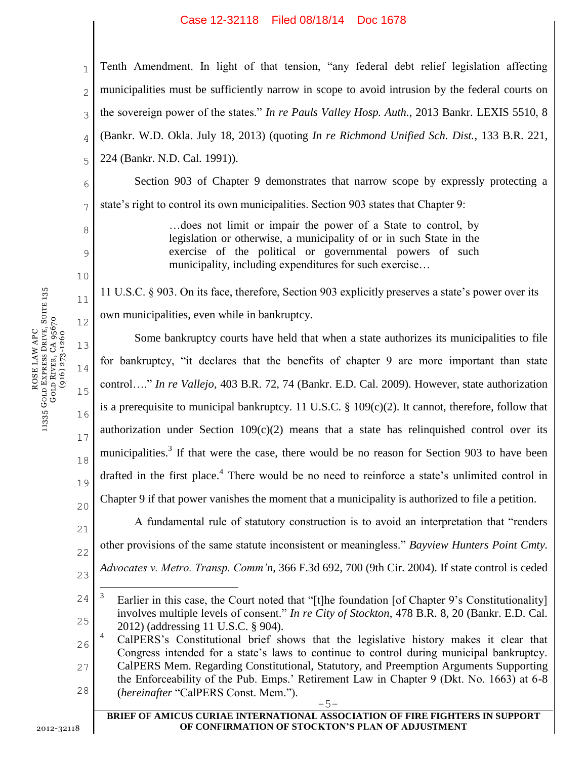### Case 12-32118 Filed 08/18/14 Doc 1678

1 2 3 4 5 Tenth Amendment. In light of that tension, "any federal debt relief legislation affecting municipalities must be sufficiently narrow in scope to avoid intrusion by the federal courts on the sovereign power of the states." *In re Pauls Valley Hosp. Auth.*, 2013 Bankr. LEXIS 5510, 8 (Bankr. W.D. Okla. July 18, 2013) (quoting *In re Richmond Unified Sch. Dist.*, 133 B.R. 221, 224 (Bankr. N.D. Cal. 1991)).

6 7 Section 903 of Chapter 9 demonstrates that narrow scope by expressly protecting a state's right to control its own municipalities. Section 903 states that Chapter 9:

> …does not limit or impair the power of a State to control, by legislation or otherwise, a municipality of or in such State in the exercise of the political or governmental powers of such municipality, including expenditures for such exercise…

12 11 U.S.C. § 903. On its face, therefore, Section 903 explicitly preserves a state's power over its own municipalities, even while in bankruptcy.

13 14 15 16 17 18 19 20 Some bankruptcy courts have held that when a state authorizes its municipalities to file for bankruptcy, "it declares that the benefits of chapter 9 are more important than state control…." *In re Vallejo*, 403 B.R. 72, 74 (Bankr. E.D. Cal. 2009). However, state authorization is a prerequisite to municipal bankruptcy. 11 U.S.C.  $\S$  109(c)(2). It cannot, therefore, follow that authorization under Section  $109(c)(2)$  means that a state has relinguished control over its municipalities.<sup>3</sup> If that were the case, there would be no reason for Section 903 to have been drafted in the first place.<sup>4</sup> There would be no need to reinforce a state's unlimited control in Chapter 9 if that power vanishes the moment that a municipality is authorized to file a petition.

21 22 23 A fundamental rule of statutory construction is to avoid an interpretation that "renders other provisions of the same statute inconsistent or meaningless." *Bayview Hunters Point Cmty. Advocates v. Metro. Transp. Comm'n*, 366 F.3d 692, 700 (9th Cir. 2004). If state control is ceded

8

9

10

11

<sup>24</sup> 25  $\overline{a}$ 3 Earlier in this case, the Court noted that "[t]he foundation [of Chapter 9's Constitutionality] involves multiple levels of consent." *In re City of Stockton*, 478 B.R. 8, 20 (Bankr. E.D. Cal. 2012) (addressing 11 U.S.C. § 904).

<sup>26</sup> 27 28 <sup>4</sup> CalPERS's Constitutional brief shows that the legislative history makes it clear that Congress intended for a state's laws to continue to control during municipal bankruptcy. CalPERS Mem. Regarding Constitutional, Statutory, and Preemption Arguments Supporting the Enforceability of the Pub. Emps.' Retirement Law in Chapter 9 (Dkt. No. 1663) at 6-8 (*hereinafter* "CalPERS Const. Mem.").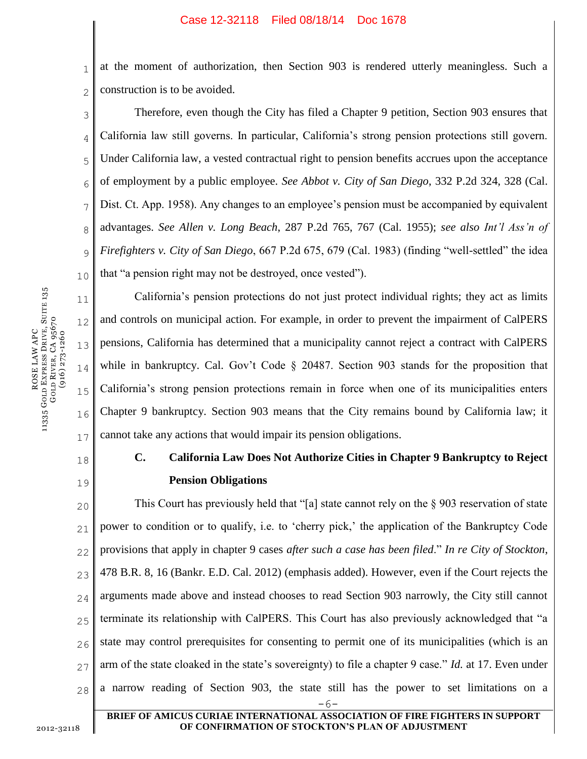1 2 at the moment of authorization, then Section 903 is rendered utterly meaningless. Such a construction is to be avoided.

3 4 5 6 7 8 9 10 Therefore, even though the City has filed a Chapter 9 petition, Section 903 ensures that California law still governs. In particular, California's strong pension protections still govern. Under California law, a vested contractual right to pension benefits accrues upon the acceptance of employment by a public employee. *See Abbot v. City of San Diego*, 332 P.2d 324, 328 (Cal. Dist. Ct. App. 1958). Any changes to an employee's pension must be accompanied by equivalent advantages. *See Allen v. Long Beach*, 287 P.2d 765, 767 (Cal. 1955); *see also Int'l Ass'n of Firefighters v. City of San Diego*, 667 P.2d 675, 679 (Cal. 1983) (finding "well-settled" the idea that "a pension right may not be destroyed, once vested").

12 16 California's pension protections do not just protect individual rights; they act as limits and controls on municipal action. For example, in order to prevent the impairment of CalPERS pensions, California has determined that a municipality cannot reject a contract with CalPERS while in bankruptcy. Cal. Gov't Code § 20487. Section 903 stands for the proposition that California's strong pension protections remain in force when one of its municipalities enters Chapter 9 bankruptcy. Section 903 means that the City remains bound by California law; it cannot take any actions that would impair its pension obligations.

# 18

11

13

14

15

17

19

# **C. California Law Does Not Authorize Cities in Chapter 9 Bankruptcy to Reject Pension Obligations**

20 21 22 23 24 25 26 27 28 -6- This Court has previously held that "[a] state cannot rely on the § 903 reservation of state power to condition or to qualify, i.e. to 'cherry pick,' the application of the Bankruptcy Code provisions that apply in chapter 9 cases *after such a case has been filed*." *In re City of Stockton*, 478 B.R. 8, 16 (Bankr. E.D. Cal. 2012) (emphasis added). However, even if the Court rejects the arguments made above and instead chooses to read Section 903 narrowly, the City still cannot terminate its relationship with CalPERS. This Court has also previously acknowledged that "a state may control prerequisites for consenting to permit one of its municipalities (which is an arm of the state cloaked in the state's sovereignty) to file a chapter 9 case." *Id.* at 17. Even under a narrow reading of Section 903, the state still has the power to set limitations on a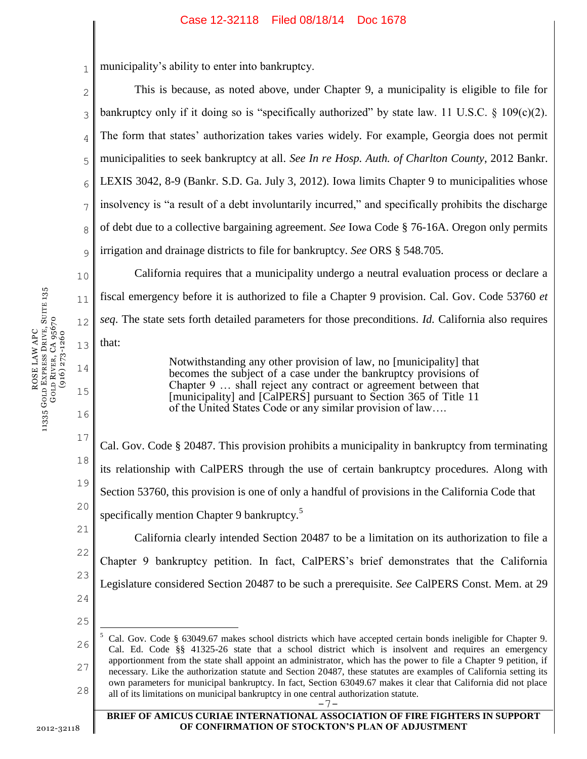#### Case 12-32118 Filed 08/18/14 Doc 1678

14

15

16

1 municipality's ability to enter into bankruptcy.

2 3 4 5 6 7 8 9 This is because, as noted above, under Chapter 9, a municipality is eligible to file for bankruptcy only if it doing so is "specifically authorized" by state law. 11 U.S.C.  $\S$  109(c)(2). The form that states' authorization takes varies widely. For example, Georgia does not permit municipalities to seek bankruptcy at all. *See In re Hosp. Auth. of Charlton County*, 2012 Bankr. LEXIS 3042, 8-9 (Bankr. S.D. Ga. July 3, 2012). Iowa limits Chapter 9 to municipalities whose insolvency is "a result of a debt involuntarily incurred," and specifically prohibits the discharge of debt due to a collective bargaining agreement. *See* Iowa Code § 76-16A. Oregon only permits irrigation and drainage districts to file for bankruptcy. *See* ORS § 548.705.

10 11 12 13 California requires that a municipality undergo a neutral evaluation process or declare a fiscal emergency before it is authorized to file a Chapter 9 provision. Cal. Gov. Code 53760 *et seq*. The state sets forth detailed parameters for those preconditions. *Id.* California also requires that:

> Notwithstanding any other provision of law, no [municipality] that becomes the subject of a case under the bankruptcy provisions of Chapter 9 … shall reject any contract or agreement between that [municipality] and [CalPERS] pursuant to Section 365 of Title 11 of the United States Code or any similar provision of law….

17 18 19 20 21 Cal. Gov. Code § 20487. This provision prohibits a municipality in bankruptcy from terminating its relationship with CalPERS through the use of certain bankruptcy procedures. Along with Section 53760, this provision is one of only a handful of provisions in the California Code that specifically mention Chapter 9 bankruptcy.<sup>5</sup>

22 23 24 California clearly intended Section 20487 to be a limitation on its authorization to file a Chapter 9 bankruptcy petition. In fact, CalPERS's brief demonstrates that the California Legislature considered Section 20487 to be such a prerequisite. *See* CalPERS Const. Mem. at 29

25

 $\overline{a}$ 

26 27 28 <sup>5</sup> Cal. Gov. Code § 63049.67 makes school districts which have accepted certain bonds ineligible for Chapter 9. Cal. Ed. Code §§ 41325-26 state that a school district which is insolvent and requires an emergency apportionment from the state shall appoint an administrator, which has the power to file a Chapter 9 petition, if necessary. Like the authorization statute and Section 20487, these statutes are examples of California setting its own parameters for municipal bankruptcy. In fact, Section 63049.67 makes it clear that California did not place all of its limitations on municipal bankruptcy in one central authorization statute.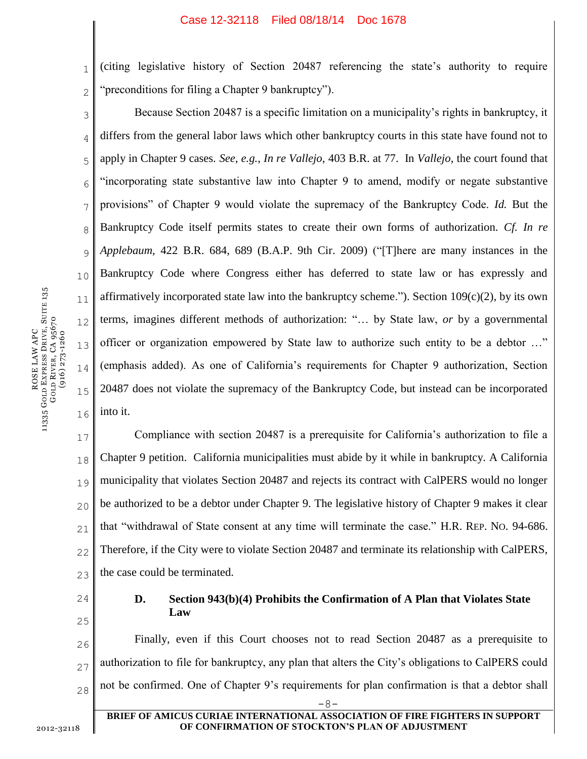1 2 (citing legislative history of Section 20487 referencing the state's authority to require "preconditions for filing a Chapter 9 bankruptcy").

3 4 5 6 7 8 9 10 11 12 13 14 15 16 Because Section 20487 is a specific limitation on a municipality's rights in bankruptcy, it differs from the general labor laws which other bankruptcy courts in this state have found not to apply in Chapter 9 cases. *See, e.g.*, *In re Vallejo*, 403 B.R. at 77. In *Vallejo*, the court found that "incorporating state substantive law into Chapter 9 to amend, modify or negate substantive provisions" of Chapter 9 would violate the supremacy of the Bankruptcy Code. *Id.* But the Bankruptcy Code itself permits states to create their own forms of authorization. *Cf. In re Applebaum*, 422 B.R. 684, 689 (B.A.P. 9th Cir. 2009) ("[T]here are many instances in the Bankruptcy Code where Congress either has deferred to state law or has expressly and affirmatively incorporated state law into the bankruptcy scheme."). Section  $109(c)(2)$ , by its own terms, imagines different methods of authorization: "… by State law, *or* by a governmental officer or organization empowered by State law to authorize such entity to be a debtor …" (emphasis added). As one of California's requirements for Chapter 9 authorization, Section 20487 does not violate the supremacy of the Bankruptcy Code, but instead can be incorporated into it.

17 18 19 20 21 22 23 Compliance with section 20487 is a prerequisite for California's authorization to file a Chapter 9 petition. California municipalities must abide by it while in bankruptcy. A California municipality that violates Section 20487 and rejects its contract with CalPERS would no longer be authorized to be a debtor under Chapter 9. The legislative history of Chapter 9 makes it clear that "withdrawal of State consent at any time will terminate the case." H.R. REP. NO. 94-686. Therefore, if the City were to violate Section 20487 and terminate its relationship with CalPERS, the case could be terminated.

24

25

# **D. Section 943(b)(4) Prohibits the Confirmation of A Plan that Violates State Law**

26 27 28 Finally, even if this Court chooses not to read Section 20487 as a prerequisite to authorization to file for bankruptcy, any plan that alters the City's obligations to CalPERS could not be confirmed. One of Chapter 9's requirements for plan confirmation is that a debtor shall

**BRIEF OF AMICUS CURIAE INTERNATIONAL ASSOCIATION OF FIRE FIGHTERS IN SUPPORT OF CONFIRMATION OF STOCKTON'S PLAN OF ADJUSTMENT**

-8-